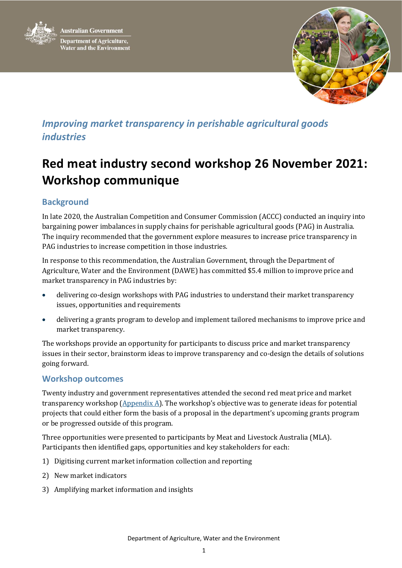



## *Improving market transparency in perishable agricultural goods industries*

# **Red meat industry second workshop 26 November 2021: Workshop communique**

## **Background**

In late 2020, the Australian Competition and Consumer Commission (ACCC) conducted an inquiry into bargaining power imbalances in supply chains for perishable agricultural goods (PAG) in Australia. The inquiry recommended that the government explore measures to increase price transparency in PAG industries to increase competition in those industries.

In response to this recommendation, the Australian Government, through the Department of Agriculture, Water and the Environment (DAWE) has committed \$5.4 million to improve price and market transparency in PAG industries by:

- delivering co-design workshops with PAG industries to understand their market transparency issues, opportunities and requirements
- delivering a grants program to develop and implement tailored mechanisms to improve price and market transparency.

The workshops provide an opportunity for participants to discuss price and market transparency issues in their sector, brainstorm ideas to improve transparency and co-design the details of solutions going forward.

## **Workshop outcomes**

Twenty industry and government representatives attended the second red meat price and market transparency workshop (Appendix A). The workshop's objective was to generate ideas for potential projects that could either form the basis of a proposal in the department's upcoming grants program or be progressed outside of this program.

Three opportunities were presented to participants by Meat and Livestock Australia (MLA). Participants then identified gaps, opportunities and key stakeholders for each:

- 1) Digitising current market information collection and reporting
- 2) New market indicators
- 3) Amplifying market information and insights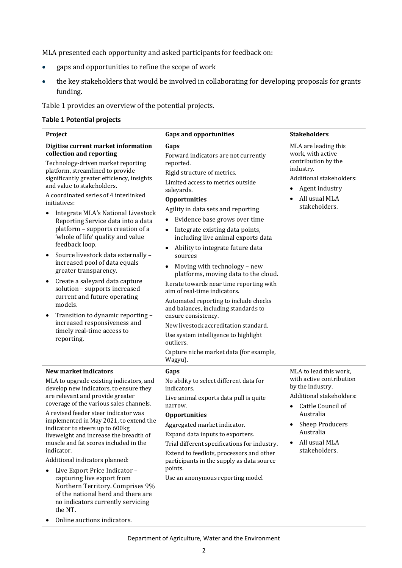MLA presented each opportunity and asked participants for feedback on:

- gaps and opportunities to refine the scope of work
- the key stakeholders that would be involved in collaborating for developing proposals for grants funding.

Table 1 provides an overview of the potential projects.

#### **Table 1 Potential projects**

| Project                                                                                                                                                                                                                                                                                                                                                                                                                                                                                                                                                                                                                                                                                                                                                                                                         | <b>Gaps and opportunities</b>                                                                                                                                                                                                                                                                                                                                                                                                                                                                                                                                                                                                                                                                                                                                                                                             | <b>Stakeholders</b>                                                                                                                                                                                    |
|-----------------------------------------------------------------------------------------------------------------------------------------------------------------------------------------------------------------------------------------------------------------------------------------------------------------------------------------------------------------------------------------------------------------------------------------------------------------------------------------------------------------------------------------------------------------------------------------------------------------------------------------------------------------------------------------------------------------------------------------------------------------------------------------------------------------|---------------------------------------------------------------------------------------------------------------------------------------------------------------------------------------------------------------------------------------------------------------------------------------------------------------------------------------------------------------------------------------------------------------------------------------------------------------------------------------------------------------------------------------------------------------------------------------------------------------------------------------------------------------------------------------------------------------------------------------------------------------------------------------------------------------------------|--------------------------------------------------------------------------------------------------------------------------------------------------------------------------------------------------------|
| Digitise current market information<br>collection and reporting<br>Technology-driven market reporting<br>platform, streamlined to provide<br>significantly greater efficiency, insights<br>and value to stakeholders.<br>A coordinated series of 4 interlinked<br>initiatives:<br>Integrate MLA's National Livestock<br>Reporting Service data into a data<br>platform - supports creation of a<br>'whole of life' quality and value<br>feedback loop.<br>Source livestock data externally -<br>$\bullet$<br>increased pool of data equals<br>greater transparency.<br>Create a saleyard data capture<br>$\bullet$<br>solution - supports increased<br>current and future operating<br>models.<br>Transition to dynamic reporting -<br>increased responsiveness and<br>timely real-time access to<br>reporting. | Gaps<br>Forward indicators are not currently<br>reported.<br>Rigid structure of metrics.<br>Limited access to metrics outside<br>saleyards.<br><b>Opportunities</b><br>Agility in data sets and reporting<br>Evidence base grows over time<br>$\bullet$<br>Integrate existing data points,<br>$\bullet$<br>including live animal exports data<br>Ability to integrate future data<br>$\bullet$<br>sources<br>Moving with technology - new<br>platforms, moving data to the cloud.<br>Iterate towards near time reporting with<br>aim of real-time indicators.<br>Automated reporting to include checks<br>and balances, including standards to<br>ensure consistency.<br>New livestock accreditation standard.<br>Use system intelligence to highlight<br>outliers.<br>Capture niche market data (for example,<br>Wagyu). | MLA are leading this<br>work, with active<br>contribution by the<br>industry.<br>Additional stakeholders:<br>Agent industry<br>٠<br>All usual MLA<br>stakeholders.                                     |
| New market indicators<br>MLA to upgrade existing indicators, and<br>develop new indicators, to ensure they<br>are relevant and provide greater<br>coverage of the various sales channels.<br>A revised feeder steer indicator was<br>implemented in May 2021, to extend the<br>indicator to steers up to 600kg<br>liveweight and increase the breadth of<br>muscle and fat scores included in the<br>indicator.<br>Additional indicators planned:<br>Live Export Price Indicator -<br>٠<br>capturing live export from<br>Northern Territory. Comprises 9%<br>of the national herd and there are<br>no indicators currently servicing<br>the NT.                                                                                                                                                                 | Gaps<br>No ability to select different data for<br>indicators.<br>Live animal exports data pull is quite<br>narrow.<br><b>Opportunities</b><br>Aggregated market indicator.<br>Expand data inputs to exporters.<br>Trial different specifications for industry.<br>Extend to feedlots, processors and other<br>participants in the supply as data source<br>points.<br>Use an anonymous reporting model                                                                                                                                                                                                                                                                                                                                                                                                                   | MLA to lead this work,<br>with active contribution<br>by the industry.<br>Additional stakeholders:<br>Cattle Council of<br>Australia<br>Sheep Producers<br>Australia<br>All usual MLA<br>stakeholders. |

• Online auctions indicators.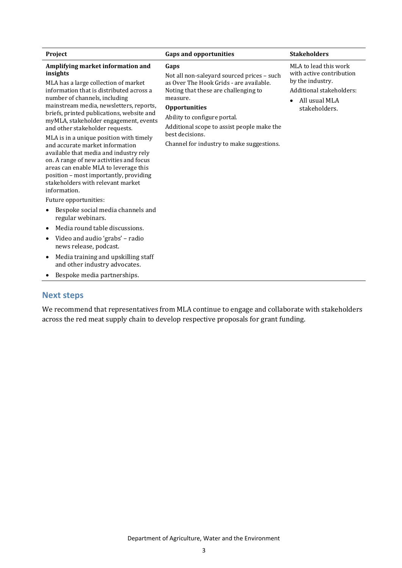| Project                                                                                                                                                                                                                                                                                                                                                                                                                                                                                                                                                                                                                                           | <b>Gaps and opportunities</b>                                                                                                                                                                                                                                                                                           | <b>Stakeholders</b>                                                                                                                 |
|---------------------------------------------------------------------------------------------------------------------------------------------------------------------------------------------------------------------------------------------------------------------------------------------------------------------------------------------------------------------------------------------------------------------------------------------------------------------------------------------------------------------------------------------------------------------------------------------------------------------------------------------------|-------------------------------------------------------------------------------------------------------------------------------------------------------------------------------------------------------------------------------------------------------------------------------------------------------------------------|-------------------------------------------------------------------------------------------------------------------------------------|
| Amplifying market information and<br>insights<br>MLA has a large collection of market<br>information that is distributed across a<br>number of channels, including<br>mainstream media, newsletters, reports,<br>briefs, printed publications, website and<br>myMLA, stakeholder engagement, events<br>and other stakeholder requests.<br>MLA is in a unique position with timely<br>and accurate market information<br>available that media and industry rely<br>on. A range of new activities and focus<br>areas can enable MLA to leverage this<br>position - most importantly, providing<br>stakeholders with relevant market<br>information. | Gaps<br>Not all non-saleyard sourced prices - such<br>as Over The Hook Grids - are available.<br>Noting that these are challenging to<br>measure.<br><b>Opportunities</b><br>Ability to configure portal.<br>Additional scope to assist people make the<br>best decisions.<br>Channel for industry to make suggestions. | MLA to lead this work<br>with active contribution<br>by the industry.<br>Additional stakeholders:<br>All usual MLA<br>stakeholders. |
| Future opportunities:                                                                                                                                                                                                                                                                                                                                                                                                                                                                                                                                                                                                                             |                                                                                                                                                                                                                                                                                                                         |                                                                                                                                     |
| Bespoke social media channels and<br>٠<br>regular webinars.                                                                                                                                                                                                                                                                                                                                                                                                                                                                                                                                                                                       |                                                                                                                                                                                                                                                                                                                         |                                                                                                                                     |
| Media round table discussions.                                                                                                                                                                                                                                                                                                                                                                                                                                                                                                                                                                                                                    |                                                                                                                                                                                                                                                                                                                         |                                                                                                                                     |
| Video and audio 'grabs' - radio<br>٠<br>news release, podcast.                                                                                                                                                                                                                                                                                                                                                                                                                                                                                                                                                                                    |                                                                                                                                                                                                                                                                                                                         |                                                                                                                                     |
| Media training and upskilling staff<br>$\bullet$<br>and other industry advocates.                                                                                                                                                                                                                                                                                                                                                                                                                                                                                                                                                                 |                                                                                                                                                                                                                                                                                                                         |                                                                                                                                     |

• Bespoke media partnerships.

## **Next steps**

We recommend that representatives from MLA continue to engage and collaborate with stakeholders across the red meat supply chain to develop respective proposals for grant funding.